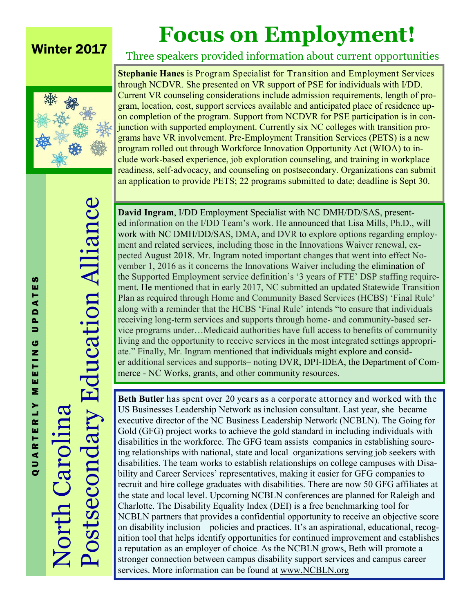## Winter 2017

## **Focus on Employment!**

Three speakers provided information about current opportunities



**Stephanie Hanes** is Program Specialist for Transition and Employment Services through NCDVR. She presented on VR support of PSE for individuals with I/DD. Current VR counseling considerations include admission requirements, length of program, location, cost, support services available and anticipated place of residence upon completion of the program. Support from NCDVR for PSE participation is in conjunction with supported employment. Currently six NC colleges with transition programs have VR involvement. Pre-Employment Transition Services (PETS) is a new

program rolled out through Workforce Innovation Opportunity Act (WIOA) to include work-based experience, job exploration counseling, and training in workplace readiness, self-advocacy, and counseling on postsecondary. Organizations can submit an application to provide PETS; 22 programs submitted to date; deadline is Sept 30.

Q U A R T E R L Y M E E T I N G U P D A T E S TES ⋖  $\blacksquare$  $\frac{a}{b}$ G EETIN  $\bar{\mathbf{z}}$ QUARTERLY

Postsecondary Education Alliance Postsecondary Education Alliance North Carolina **North Caro** 

**David Ingram**, I/DD Employment Specialist with NC DMH/DD/SAS, presented information on the I/DD Team's work. He announced that Lisa Mills, Ph.D., will work with NC DMH/DD/SAS, DMA, and DVR to explore options regarding employment and related services, including those in the Innovations Waiver renewal, expected August 2018. Mr. Ingram noted important changes that went into effect November 1, 2016 as it concerns the Innovations Waiver including the elimination of the Supported Employment service definition's '3 years of FTE' DSP staffing requirement. He mentioned that in early 2017, NC submitted an updated Statewide Transition Plan as required through Home and Community Based Services (HCBS) 'Final Rule' along with a reminder that the HCBS 'Final Rule' intends "to ensure that individuals receiving long-term services and supports through home- and community-based service programs under…Medicaid authorities have full access to benefits of community living and the opportunity to receive services in the most integrated settings appropriate." Finally, Mr. Ingram mentioned that individuals might explore and consider additional services and supports– noting DVR, DPI-IDEA, the Department of Commerce - NC Works, grants, and other community resources.

**Beth Butler** has spent over 20 years as a corporate attorney and worked with the US Businesses Leadership Network as inclusion consultant. Last year, she became executive director of the NC Business Leadership Network (NCBLN). The Going for Gold (GFG) project works to achieve the gold standard in including individuals with disabilities in the workforce. The GFG team assists companies in establishing sourcing relationships with national, state and local organizations serving job seekers with disabilities. The team works to establish relationships on college campuses with Disability and Career Services' representatives, making it easier for GFG companies to recruit and hire college graduates with disabilities. There are now 50 GFG affiliates at the state and local level. Upcoming NCBLN conferences are planned for Raleigh and Charlotte. The Disability Equality Index (DEI) is a free benchmarking tool for NCBLN partners that provides a confidential opportunity to receive an objective score on disability inclusion policies and practices. It's an aspirational, educational, recognition tool that helps identify opportunities for continued improvement and establishes a reputation as an employer of choice. As the NCBLN grows, Beth will promote a stronger connection between campus disability support services and campus career services. More information can be found at www.NCBLN.org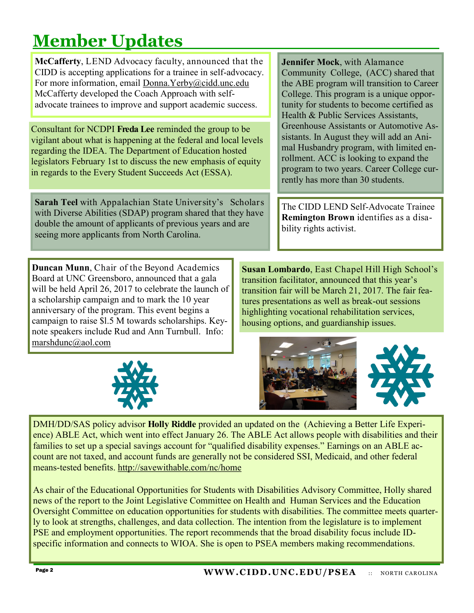## **Member Updates**

**McCafferty**, LEND Advocacy faculty, announced that the CIDD is accepting applications for a trainee in self-advocacy. For more information, email Donna.Yerby@cidd.unc.edu McCafferty developed the Coach Approach with selfadvocate trainees to improve and support academic success.

Consultant for NCDPI **Freda Lee** reminded the group to be vigilant about what is happening at the federal and local levels regarding the IDEA. The Department of Education hosted legislators February 1st to discuss the new emphasis of equity in regards to the Every Student Succeeds Act (ESSA).

**Sarah Teel** with Appalachian State University's Scholars with Diverse Abilities (SDAP) program shared that they have double the amount of applicants of previous years and are seeing more applicants from North Carolina.

**Duncan Munn**, Chair of the Beyond Academics Board at UNC Greensboro, announced that a gala will be held April 26, 2017 to celebrate the launch of a scholarship campaign and to mark the 10 year anniversary of the program. This event begins a campaign to raise \$l.5 M towards scholarships. Keynote speakers include Rud and Ann Turnbull. Info: marshdunc@aol.com



**Jennifer Mock**, with Alamance Community College, (ACC) shared that the ABE program will transition to Career College. This program is a unique opportunity for students to become certified as Health & Public Services Assistants, Greenhouse Assistants or Automotive Assistants. In August they will add an Animal Husbandry program, with limited enrollment. ACC is looking to expand the program to two years. Career College currently has more than 30 students.

The CIDD LEND Self-Advocate Trainee **Remington Brown** identifies as a disability rights activist.

**Susan Lombardo**, East Chapel Hill High School's transition facilitator, announced that this year's transition fair will be March 21, 2017. The fair features presentations as well as break-out sessions highlighting vocational rehabilitation services, housing options, and guardianship issues.



DMH/DD/SAS policy advisor **Holly Riddle** provided an updated on the (Achieving a Better Life Experience) ABLE Act, which went into effect January 26. The ABLE Act allows people with disabilities and their families to set up a special savings account for "qualified disability expenses." Earnings on an ABLE account are not taxed, and account funds are generally not be considered SSI, Medicaid, and other federal means-tested benefits. http://savewithable.com/nc/home

As chair of the Educational Opportunities for Students with Disabilities Advisory Committee, Holly shared news of the report to the Joint Legislative Committee on Health and Human Services and the Education Oversight Committee on education opportunities for students with disabilities. The committee meets quarterly to look at strengths, challenges, and data collection. The intention from the legislature is to implement PSE and employment opportunities. The report recommends that the broad disability focus include IDspecific information and connects to WIOA. She is open to PSEA members making recommendations.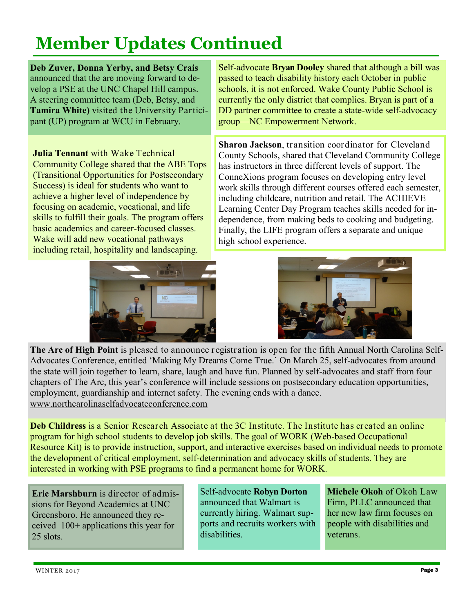## **Member Updates Continued**

**Deb Zuver, Donna Yerby, and Betsy Crais**  announced that the are moving forward to develop a PSE at the UNC Chapel Hill campus. A steering committee team (Deb, Betsy, and **Tamira White)** visited the University Participant (UP) program at WCU in February.

**Julia Tennant** with Wake Technical Community College shared that the ABE Tops (Transitional Opportunities for Postsecondary Success) is ideal for students who want to achieve a higher level of independence by focusing on academic, vocational, and life skills to fulfill their goals. The program offers basic academics and career-focused classes. Wake will add new vocational pathways including retail, hospitality and landscaping.



Self-advocate **Bryan Dooley** shared that although a bill was passed to teach disability history each October in public schools, it is not enforced. Wake County Public School is currently the only district that complies. Bryan is part of a DD partner committee to create a state-wide self-advocacy group—NC Empowerment Network.

**Sharon Jackson**, transition coordinator for Cleveland County Schools, shared that Cleveland Community College has instructors in three different levels of support. The ConneXions program focuses on developing entry level work skills through different courses offered each semester, including childcare, nutrition and retail. The ACHIEVE Learning Center Day Program teaches skills needed for independence, from making beds to cooking and budgeting. Finally, the LIFE program offers a separate and unique high school experience.



**The Arc of High Point** is pleased to announce registration is open for the fifth Annual North Carolina Self-Advocates Conference, entitled 'Making My Dreams Come True.' On March 25, self-advocates from around the state will join together to learn, share, laugh and have fun. Planned by self-advocates and staff from four chapters of The Arc, this year's conference will include sessions on postsecondary education opportunities, employment, guardianship and internet safety. The evening ends with a dance. www.northcarolinaselfadvocateconference.com

**Deb Childress** is a Senior Research Associate at the 3C Institute. The Institute has created an online program for high school students to develop job skills. The goal of WORK (Web-based Occupational Resource Kit) is to provide instruction, support, and interactive exercises based on individual needs to promote the development of critical employment, self-determination and advocacy skills of students. They are interested in working with PSE programs to find a permanent home for WORK.

**Eric Marshburn** is director of admissions for Beyond Academics at UNC Greensboro. He announced they received 100+ applications this year for 25 slots.

Self-advocate **Robyn Dorton** announced that Walmart is currently hiring. Walmart supports and recruits workers with disabilities.

**Michele Okoh** of Okoh Law Firm, PLLC announced that her new law firm focuses on people with disabilities and veterans.